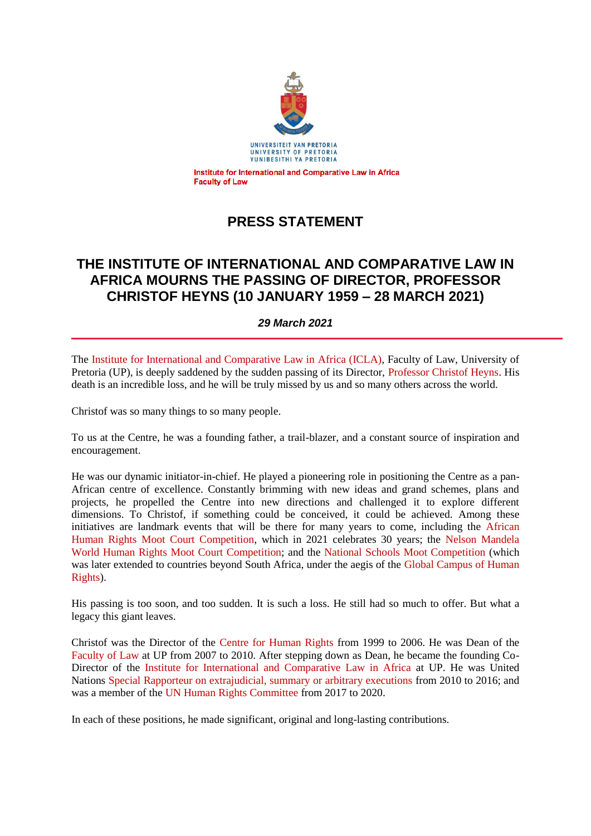

# **PRESS STATEMENT**

## **THE INSTITUTE OF INTERNATIONAL AND COMPARATIVE LAW IN AFRICA MOURNS THE PASSING OF DIRECTOR, PROFESSOR CHRISTOF HEYNS (10 JANUARY 1959 – 28 MARCH 2021)**

*29 March 2021*

The Institute for International and Comparative Law in Africa (ICLA), Faculty of Law, University of Pretoria (UP), is deeply saddened by the sudden passing of its Director, Professor Christof Heyns. His death is an incredible loss, and he will be truly missed by us and so many others across the world.

Christof was so many things to so many people.

To us at the Centre, he was a founding father, a trail-blazer, and a constant source of inspiration and encouragement.

He was our dynamic initiator-in-chief. He played a pioneering role in positioning the Centre as a pan-African centre of excellence. Constantly brimming with new ideas and grand schemes, plans and projects, he propelled the Centre into new directions and challenged it to explore different dimensions. To Christof, if something could be conceived, it could be achieved. Among these initiatives are landmark events that will be there for many years to come, including the African Human Rights Moot Court Competition, which in 2021 celebrates 30 years; the Nelson Mandela World Human Rights Moot Court Competition; and the National Schools Moot Competition (which was later extended to countries beyond South Africa, under the aegis of the Global Campus of Human Rights).

His passing is too soon, and too sudden. It is such a loss. He still had so much to offer. But what a legacy this giant leaves.

Christof was the Director of the Centre for Human Rights from 1999 to 2006. He was Dean of the Faculty of Law at UP from 2007 to 2010. After stepping down as Dean, he became the founding Co-Director of the Institute for International and Comparative Law in Africa at UP. He was United Nations Special Rapporteur on extrajudicial, summary or arbitrary executions from 2010 to 2016; and was a member of the UN Human Rights Committee from 2017 to 2020.

In each of these positions, he made significant, original and long-lasting contributions.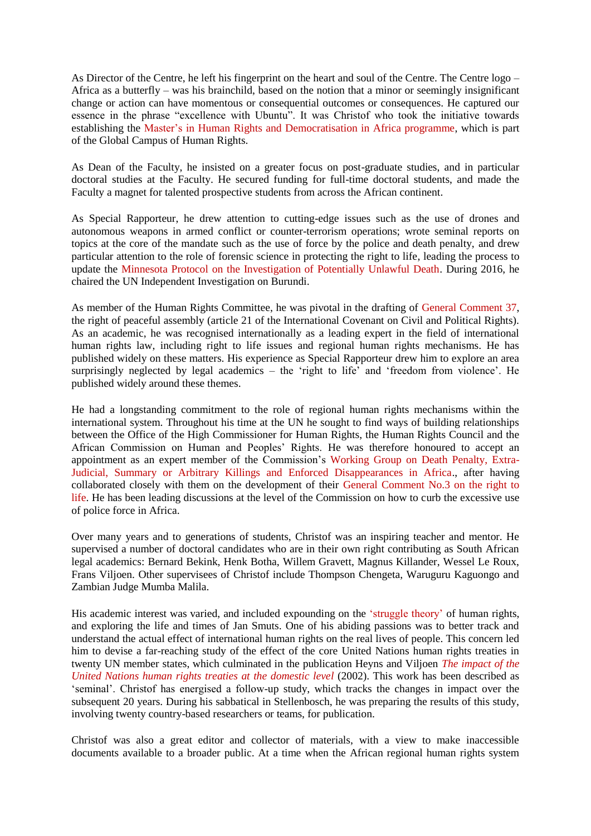As Director of the Centre, he left his fingerprint on the heart and soul of the Centre. The Centre logo – Africa as a butterfly – was his brainchild, based on the notion that a minor or seemingly insignificant change or action can have momentous or consequential outcomes or consequences. He captured our essence in the phrase "excellence with Ubuntu". It was Christof who took the initiative towards establishing the Master's in Human Rights and Democratisation in Africa programme, which is part of the Global Campus of Human Rights.

As Dean of the Faculty, he insisted on a greater focus on post-graduate studies, and in particular doctoral studies at the Faculty. He secured funding for full-time doctoral students, and made the Faculty a magnet for talented prospective students from across the African continent.

As Special Rapporteur, he drew attention to cutting-edge issues such as the use of drones and autonomous weapons in armed conflict or counter-terrorism operations; wrote seminal reports on topics at the core of the mandate such as the use of force by the police and death penalty, and drew particular attention to the role of forensic science in protecting the right to life, leading the process to update the Minnesota Protocol on the Investigation of Potentially Unlawful Death. During 2016, he chaired the UN Independent Investigation on Burundi.

As member of the Human Rights Committee, he was pivotal in the drafting of General Comment 37, the right of peaceful assembly (article 21 of the International Covenant on Civil and Political Rights). As an academic, he was recognised internationally as a leading expert in the field of international human rights law, including right to life issues and regional human rights mechanisms. He has published widely on these matters. His experience as Special Rapporteur drew him to explore an area surprisingly neglected by legal academics – the 'right to life' and 'freedom from violence'. He published widely around these themes.

He had a longstanding commitment to the role of regional human rights mechanisms within the international system. Throughout his time at the UN he sought to find ways of building relationships between the Office of the High Commissioner for Human Rights, the Human Rights Council and the African Commission on Human and Peoples" Rights. He was therefore honoured to accept an appointment as an expert member of the Commission"s Working Group on Death Penalty, Extra-Judicial, Summary or Arbitrary Killings and Enforced Disappearances in Africa., after having collaborated closely with them on the development of their General Comment No.3 on the right to life. He has been leading discussions at the level of the Commission on how to curb the excessive use of police force in Africa.

Over many years and to generations of students, Christof was an inspiring teacher and mentor. He supervised a number of doctoral candidates who are in their own right contributing as South African legal academics: Bernard Bekink, Henk Botha, Willem Gravett, Magnus Killander, Wessel Le Roux, Frans Viljoen. Other supervisees of Christof include Thompson Chengeta, Waruguru Kaguongo and Zambian Judge Mumba Malila.

His academic interest was varied, and included expounding on the 'struggle theory' of human rights, and exploring the life and times of Jan Smuts. One of his abiding passions was to better track and understand the actual effect of international human rights on the real lives of people. This concern led him to devise a far-reaching study of the effect of the core United Nations human rights treaties in twenty UN member states, which culminated in the publication Heyns and Viljoen *The impact of the United Nations human rights treaties at the domestic level* (2002). This work has been described as "seminal". Christof has energised a follow-up study, which tracks the changes in impact over the subsequent 20 years. During his sabbatical in Stellenbosch, he was preparing the results of this study, involving twenty country-based researchers or teams, for publication.

Christof was also a great editor and collector of materials, with a view to make inaccessible documents available to a broader public. At a time when the African regional human rights system